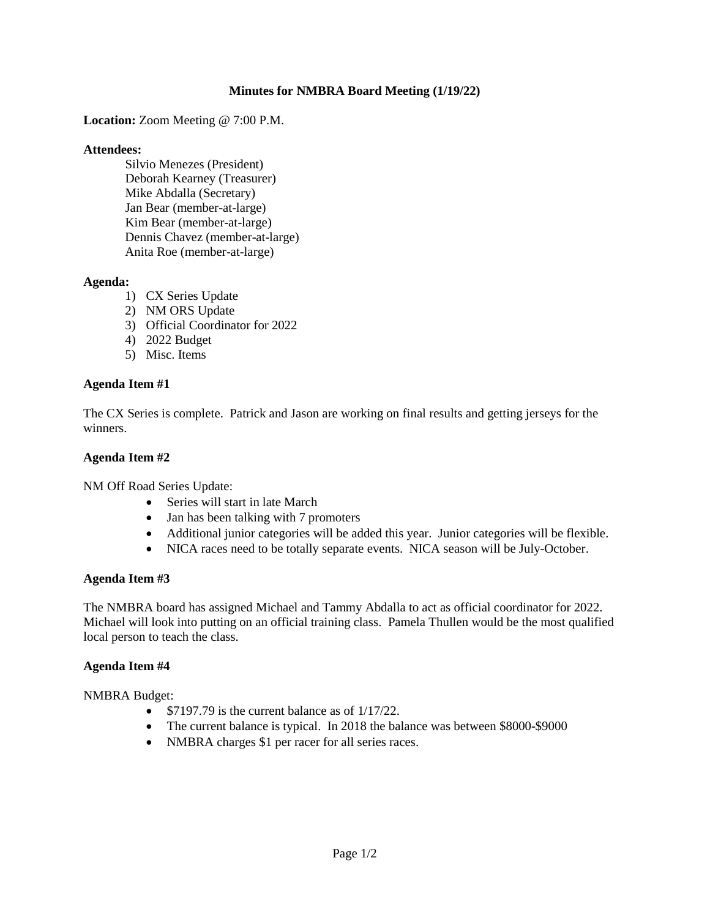## **Minutes for NMBRA Board Meeting (1/19/22)**

**Location:** Zoom Meeting @ 7:00 P.M.

#### **Attendees:**

Silvio Menezes (President) Deborah Kearney (Treasurer) Mike Abdalla (Secretary) Jan Bear (member-at-large) Kim Bear (member-at-large) Dennis Chavez (member-at-large) Anita Roe (member-at-large)

### **Agenda:**

- 1) CX Series Update
- 2) NM ORS Update
- 3) Official Coordinator for 2022
- 4) 2022 Budget
- 5) Misc. Items

### **Agenda Item #1**

The CX Series is complete. Patrick and Jason are working on final results and getting jerseys for the winners.

### **Agenda Item #2**

NM Off Road Series Update:

- Series will start in late March
- Jan has been talking with 7 promoters
- Additional junior categories will be added this year. Junior categories will be flexible.
- NICA races need to be totally separate events. NICA season will be July-October.

### **Agenda Item #3**

The NMBRA board has assigned Michael and Tammy Abdalla to act as official coordinator for 2022. Michael will look into putting on an official training class. Pamela Thullen would be the most qualified local person to teach the class.

### **Agenda Item #4**

NMBRA Budget:

- $$7197.79$  is the current balance as of  $1/17/22$ .
- The current balance is typical. In 2018 the balance was between \$8000-\$9000
- NMBRA charges \$1 per racer for all series races.